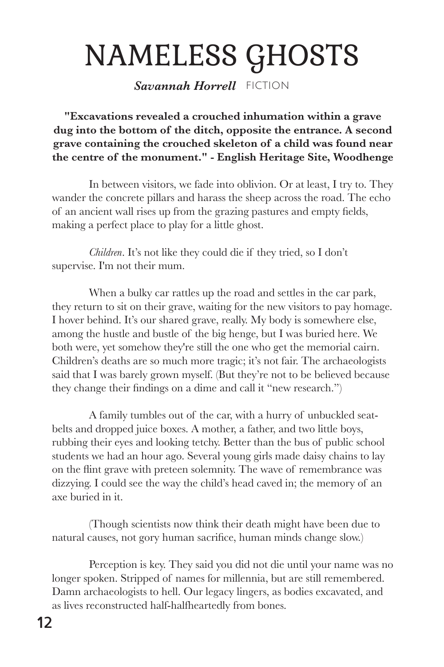## NAMELESS GHOSTS

*Savannah Horrell* FICTION

**"Excavations revealed a crouched inhumation within a grave dug into the bottom of the ditch, opposite the entrance. A second grave containing the crouched skeleton of a child was found near the centre of the monument." - English Heritage Site, Woodhenge**

In between visitors, we fade into oblivion. Or at least, I try to. They wander the concrete pillars and harass the sheep across the road. The echo of an ancient wall rises up from the grazing pastures and empty fields, making a perfect place to play for a little ghost.

*Children*. It's not like they could die if they tried, so I don't supervise. I'm not their mum.

When a bulky car rattles up the road and settles in the car park, they return to sit on their grave, waiting for the new visitors to pay homage. I hover behind. It's our shared grave, really. My body is somewhere else, among the hustle and bustle of the big henge, but I was buried here. We both were, yet somehow they're still the one who get the memorial cairn. Children's deaths are so much more tragic; it's not fair. The archaeologists said that I was barely grown myself. (But they're not to be believed because they change their findings on a dime and call it "new research.")

A family tumbles out of the car, with a hurry of unbuckled seatbelts and dropped juice boxes. A mother, a father, and two little boys, rubbing their eyes and looking tetchy. Better than the bus of public school students we had an hour ago. Several young girls made daisy chains to lay on the flint grave with preteen solemnity. The wave of remembrance was dizzying. I could see the way the child's head caved in; the memory of an axe buried in it.

(Though scientists now think their death might have been due to natural causes, not gory human sacrifice, human minds change slow.)

Perception is key. They said you did not die until your name was no longer spoken. Stripped of names for millennia, but are still remembered. Damn archaeologists to hell. Our legacy lingers, as bodies excavated, and as lives reconstructed half-halfheartedly from bones.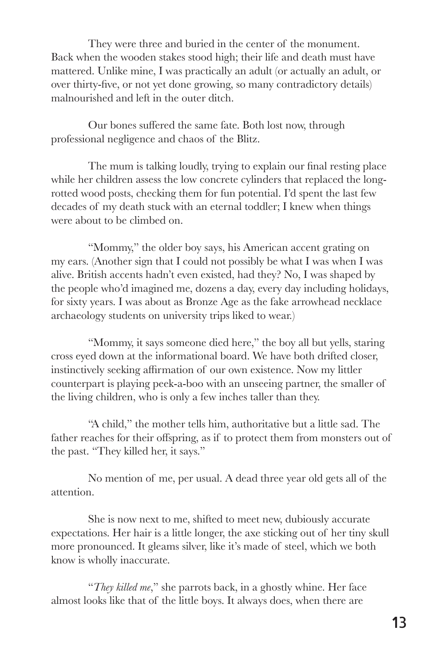They were three and buried in the center of the monument. Back when the wooden stakes stood high; their life and death must have mattered. Unlike mine, I was practically an adult (or actually an adult, or over thirty-five, or not yet done growing, so many contradictory details) malnourished and left in the outer ditch.

Our bones suffered the same fate. Both lost now, through professional negligence and chaos of the Blitz.

The mum is talking loudly, trying to explain our final resting place while her children assess the low concrete cylinders that replaced the longrotted wood posts, checking them for fun potential. I'd spent the last few decades of my death stuck with an eternal toddler; I knew when things were about to be climbed on.

"Mommy," the older boy says, his American accent grating on my ears. (Another sign that I could not possibly be what I was when I was alive. British accents hadn't even existed, had they? No, I was shaped by the people who'd imagined me, dozens a day, every day including holidays, for sixty years. I was about as Bronze Age as the fake arrowhead necklace archaeology students on university trips liked to wear.)

"Mommy, it says someone died here," the boy all but yells, staring cross eyed down at the informational board. We have both drifted closer, instinctively seeking affirmation of our own existence. Now my littler counterpart is playing peek-a-boo with an unseeing partner, the smaller of the living children, who is only a few inches taller than they.

"A child," the mother tells him, authoritative but a little sad. The father reaches for their offspring, as if to protect them from monsters out of the past. "They killed her, it says."

No mention of me, per usual. A dead three year old gets all of the attention.

She is now next to me, shifted to meet new, dubiously accurate expectations. Her hair is a little longer, the axe sticking out of her tiny skull more pronounced. It gleams silver, like it's made of steel, which we both know is wholly inaccurate.

"*They killed me*," she parrots back, in a ghostly whine. Her face almost looks like that of the little boys. It always does, when there are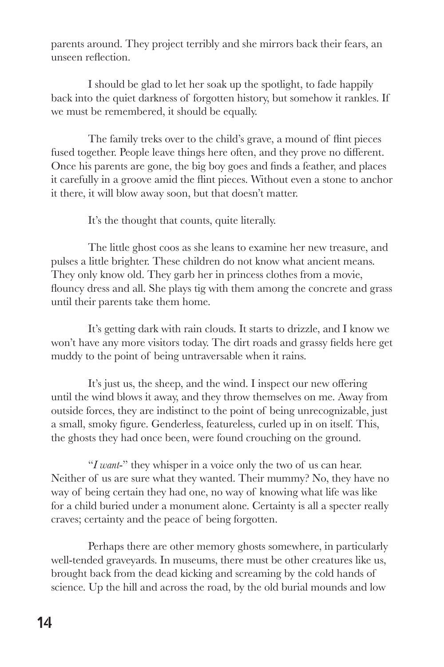parents around. They project terribly and she mirrors back their fears, an unseen reflection.

I should be glad to let her soak up the spotlight, to fade happily back into the quiet darkness of forgotten history, but somehow it rankles. If we must be remembered, it should be equally.

The family treks over to the child's grave, a mound of flint pieces fused together. People leave things here often, and they prove no different. Once his parents are gone, the big boy goes and finds a feather, and places it carefully in a groove amid the flint pieces. Without even a stone to anchor it there, it will blow away soon, but that doesn't matter.

It's the thought that counts, quite literally.

The little ghost coos as she leans to examine her new treasure, and pulses a little brighter. These children do not know what ancient means. They only know old. They garb her in princess clothes from a movie, flouncy dress and all. She plays tig with them among the concrete and grass until their parents take them home.

It's getting dark with rain clouds. It starts to drizzle, and I know we won't have any more visitors today. The dirt roads and grassy fields here get muddy to the point of being untraversable when it rains.

It's just us, the sheep, and the wind. I inspect our new offering until the wind blows it away, and they throw themselves on me. Away from outside forces, they are indistinct to the point of being unrecognizable, just a small, smoky figure. Genderless, featureless, curled up in on itself. This, the ghosts they had once been, were found crouching on the ground.

"*I want*-" they whisper in a voice only the two of us can hear. Neither of us are sure what they wanted. Their mummy? No, they have no way of being certain they had one, no way of knowing what life was like for a child buried under a monument alone. Certainty is all a specter really craves; certainty and the peace of being forgotten.

Perhaps there are other memory ghosts somewhere, in particularly well-tended graveyards. In museums, there must be other creatures like us, brought back from the dead kicking and screaming by the cold hands of science. Up the hill and across the road, by the old burial mounds and low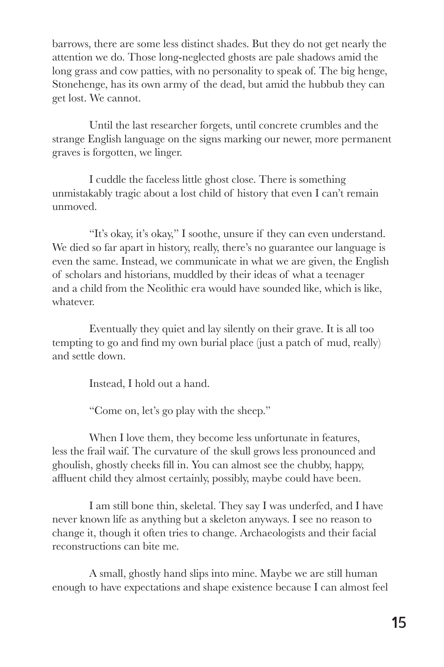barrows, there are some less distinct shades. But they do not get nearly the attention we do. Those long-neglected ghosts are pale shadows amid the long grass and cow patties, with no personality to speak of. The big henge, Stonehenge, has its own army of the dead, but amid the hubbub they can get lost. We cannot.

Until the last researcher forgets, until concrete crumbles and the strange English language on the signs marking our newer, more permanent graves is forgotten, we linger.

I cuddle the faceless little ghost close. There is something unmistakably tragic about a lost child of history that even I can't remain unmoved.

"It's okay, it's okay," I soothe, unsure if they can even understand. We died so far apart in history, really, there's no guarantee our language is even the same. Instead, we communicate in what we are given, the English of scholars and historians, muddled by their ideas of what a teenager and a child from the Neolithic era would have sounded like, which is like, whatever.

Eventually they quiet and lay silently on their grave. It is all too tempting to go and find my own burial place (just a patch of mud, really) and settle down.

Instead, I hold out a hand.

"Come on, let's go play with the sheep."

When I love them, they become less unfortunate in features, less the frail waif. The curvature of the skull grows less pronounced and ghoulish, ghostly cheeks fill in. You can almost see the chubby, happy, affluent child they almost certainly, possibly, maybe could have been.

I am still bone thin, skeletal. They say I was underfed, and I have never known life as anything but a skeleton anyways. I see no reason to change it, though it often tries to change. Archaeologists and their facial reconstructions can bite me.

A small, ghostly hand slips into mine. Maybe we are still human enough to have expectations and shape existence because I can almost feel